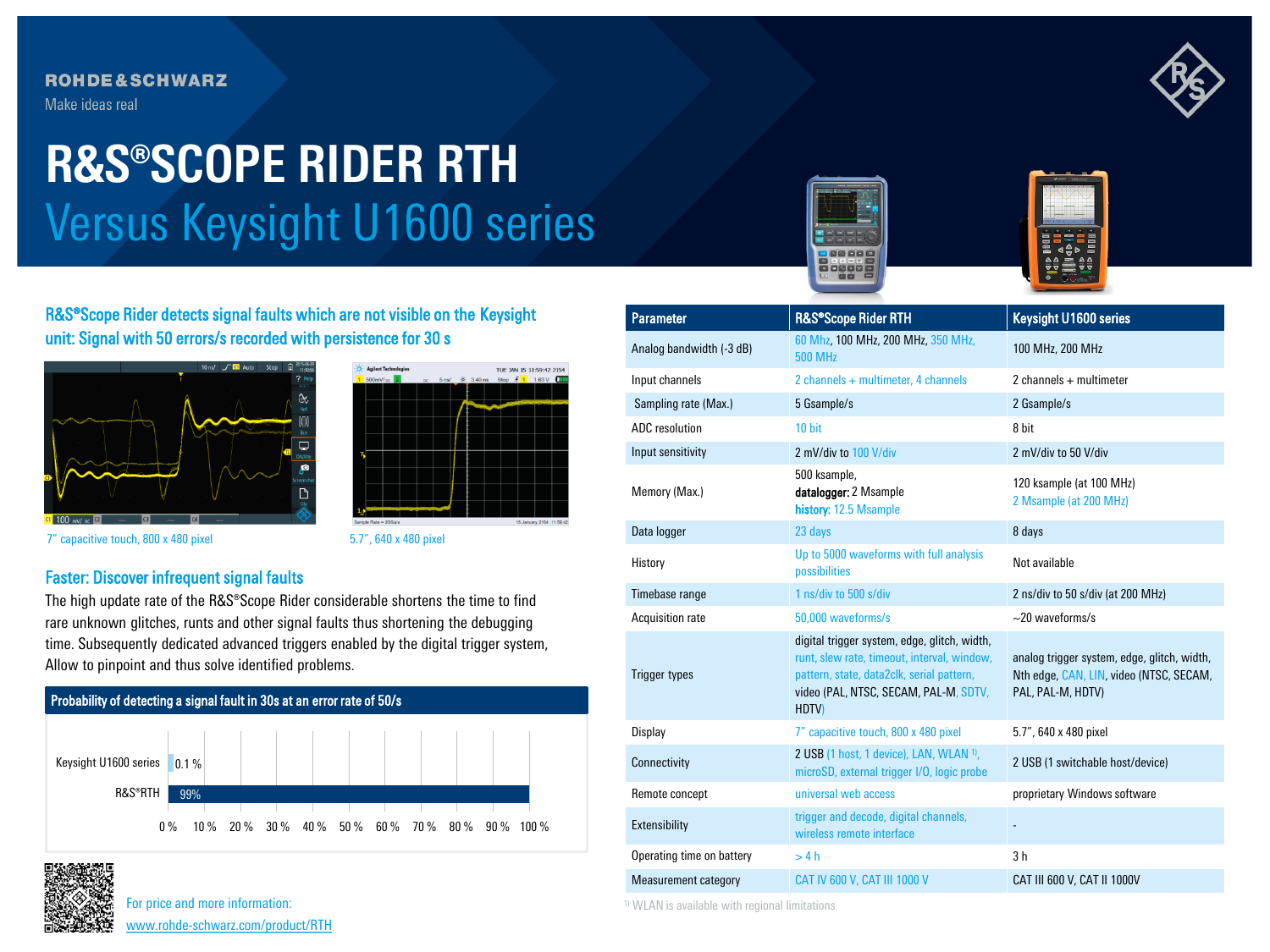## **ROHDE&SCHWARZ**

Make ideas real

# Versus Keysight U1600 series **R&S®SCOPE RIDER RTH**





R&S®Scope Rider detects signal faults which are not visible on the Keysight unit: Signal with 50 errors/s recorded with persistence for 30 s





7" capacitive touch, 800 x 480 pixel 5.7", 640 x 480 pixel

### Faster: Discover infrequent signal faults

The high update rate of the R&S®Scope Rider considerable shortens the time to find rare unknown glitches, runts and other signal faults thus shortening the debugging time. Subsequently dedicated advanced triggers enabled by the digital trigger system, Allow to pinpoint and thus solve identified problems.





For price and more information: [www.rohde-schwarz.com/product/RTH](Tracking link: www.rohde-schwarz.com/product/RTH?cid=744_com_qr_190_Marcom_20-03_i__Factsheet_printmag_text-ad___Web_)

| <b>Parameter</b>          | R&S®Scope Rider RTH                                                                                                                                                                              | <b>Keysight U1600 series</b>                                                                                |  |  |
|---------------------------|--------------------------------------------------------------------------------------------------------------------------------------------------------------------------------------------------|-------------------------------------------------------------------------------------------------------------|--|--|
| Analog bandwidth (-3 dB)  | 60 Mhz, 100 MHz, 200 MHz, 350 MHz,<br><b>500 MHz</b>                                                                                                                                             | 100 MHz, 200 MHz                                                                                            |  |  |
| Input channels            | 2 channels + multimeter, 4 channels                                                                                                                                                              | 2 channels + multimeter                                                                                     |  |  |
| Sampling rate (Max.)      | 5 Gsample/s                                                                                                                                                                                      | 2 Gsample/s                                                                                                 |  |  |
| ADC resolution            | 10 bit                                                                                                                                                                                           | 8 bit                                                                                                       |  |  |
| Input sensitivity         | 2 mV/div to 100 V/div                                                                                                                                                                            | 2 mV/div to 50 V/div                                                                                        |  |  |
| Memory (Max.)             | 500 ksample,<br>datalogger: 2 Msample<br>history: 12.5 Msample                                                                                                                                   | 120 ksample (at 100 MHz)<br>2 Msample (at 200 MHz)                                                          |  |  |
| Data logger               | 23 days                                                                                                                                                                                          | 8 days                                                                                                      |  |  |
| History                   | Up to 5000 waveforms with full analysis<br>possibilities                                                                                                                                         | Not available                                                                                               |  |  |
| Timebase range            | 1 ns/div to 500 s/div                                                                                                                                                                            | 2 ns/div to 50 s/div (at 200 MHz)                                                                           |  |  |
| Acquisition rate          | 50,000 waveforms/s                                                                                                                                                                               | $\sim$ 20 waveforms/s                                                                                       |  |  |
| <b>Trigger types</b>      | digital trigger system, edge, glitch, width,<br>runt, slew rate, timeout, interval, window,<br>pattern, state, data2clk, serial pattern,<br>video (PAL, NTSC, SECAM, PAL-M, SDTV,<br><b>HDTV</b> | analog trigger system, edge, glitch, width,<br>Nth edge, CAN, LIN, video (NTSC, SECAM,<br>PAL, PAL-M, HDTV) |  |  |
| Display                   | 7" capacitive touch, 800 x 480 pixel                                                                                                                                                             | 5.7", 640 x 480 pixel                                                                                       |  |  |
| Connectivity              | 2 USB (1 host, 1 device), LAN, WLAN <sup>1)</sup> ,<br>microSD, external trigger I/O, logic probe                                                                                                | 2 USB (1 switchable host/device)                                                                            |  |  |
| Remote concept            | universal web access                                                                                                                                                                             | proprietary Windows software                                                                                |  |  |
| Extensibility             | trigger and decode, digital channels,<br>wireless remote interface                                                                                                                               |                                                                                                             |  |  |
| Operating time on battery | >4h                                                                                                                                                                                              | 3 <sub>h</sub>                                                                                              |  |  |
| Measurement category      | CAT IV 600 V, CAT III 1000 V                                                                                                                                                                     | CAT III 600 V, CAT II 1000V                                                                                 |  |  |

1) WLAN is available with regional limitations